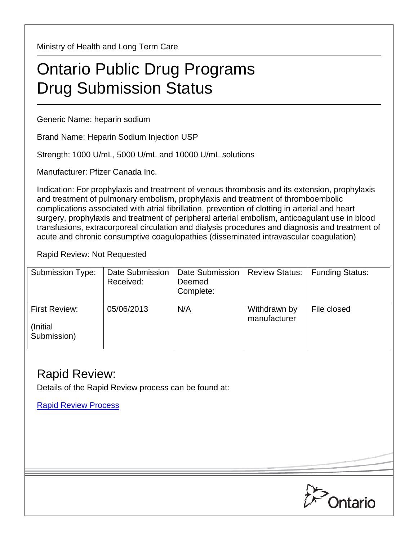Ministry of Health and Long Term Care

## Ontario Public Drug Programs Drug Submission Status

Generic Name: heparin sodium

Brand Name: Heparin Sodium Injection USP

Strength: 1000 U/mL, 5000 U/mL and 10000 U/mL solutions

Manufacturer: Pfizer Canada Inc.

Indication: For prophylaxis and treatment of venous thrombosis and its extension, prophylaxis and treatment of pulmonary embolism, prophylaxis and treatment of thromboembolic complications associated with atrial fibrillation, prevention of clotting in arterial and heart surgery, prophylaxis and treatment of peripheral arterial embolism, anticoagulant use in blood transfusions, extracorporeal circulation and dialysis procedures and diagnosis and treatment of acute and chronic consumptive coagulopathies (disseminated intravascular coagulation)

Rapid Review: Not Requested

| <b>Submission Type:</b>                         | Date Submission<br>Received: | Date Submission<br>Deemed<br>Complete: | <b>Review Status:</b>        | <b>Funding Status:</b> |
|-------------------------------------------------|------------------------------|----------------------------------------|------------------------------|------------------------|
| <b>First Review:</b><br>(Initial<br>Submission) | 05/06/2013                   | N/A                                    | Withdrawn by<br>manufacturer | File closed            |

## Rapid Review:

Details of the Rapid Review process can be found at:

[Rapid Review Process](http://www.health.gov.on.ca/en/pro/programs/drugs/drug_submissions/rapid_review_process.aspx)